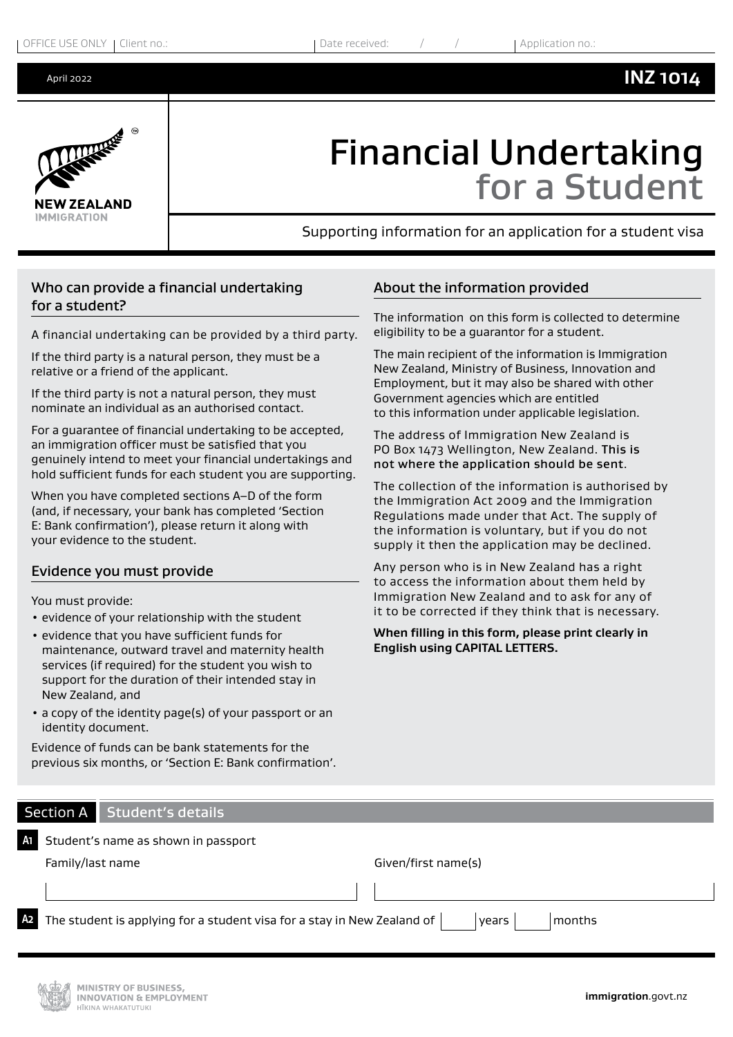#### April 2022



# Financial Undertaking for a Student

The information on this form is collected to determine

The main recipient of the information is Immigration New Zealand, Ministry of Business, Innovation and Employment, but it may also be shared with other

The collection of the information is authorised by the Immigration Act 2009 and the Immigration Regulations made under that Act. The supply of the information is voluntary, but if you do not supply it then the application may be declined. Any person who is in New Zealand has a right to access the information about them held by Immigration New Zealand and to ask for any of it to be corrected if they think that is necessary. **When filling in this form, please print clearly in** 

Supporting information for an application for a student visa

About the information provided

eligibility to be a guarantor for a student.

Government agencies which are entitled

**English using CAPITAL LETTERS.**

to this information under applicable legislation. The address of Immigration New Zealand is PO Box 1473 Wellington, New Zealand. This is not where the application should be sent.

## Who can provide a financial undertaking for a student?

A financial undertaking can be provided by a third party.

If the third party is a natural person, they must be a relative or a friend of the applicant.

If the third party is not a natural person, they must nominate an individual as an authorised contact.

For a guarantee of financial undertaking to be accepted, an immigration officer must be satisfied that you genuinely intend to meet your financial undertakings and hold sufficient funds for each student you are supporting.

When you have completed sections A–D of the form (and, if necessary, your bank has completed 'Section E: Bank confirmation'), please return it along with your evidence to the student.

### Evidence you must provide

You must provide:

- evidence of your relationship with the student
- evidence that you have sufficient funds for maintenance, outward travel and maternity health services (if required) for the student you wish to support for the duration of their intended stay in New Zealand, and
- a copy of the identity page(s) of your passport or an identity document.

Evidence of funds can be bank statements for the previous six months, or 'Section E: Bank confirmation'.

## Section A Student's details

| A1 I | Student's name as shown in passport                                                                         |                     |  |
|------|-------------------------------------------------------------------------------------------------------------|---------------------|--|
|      | Family/last name                                                                                            | Given/first name(s) |  |
|      |                                                                                                             |                     |  |
|      | $\Omega$ The student is applying for a student visa for a stay in New Zealand of $\vert$<br>months<br>years |                     |  |

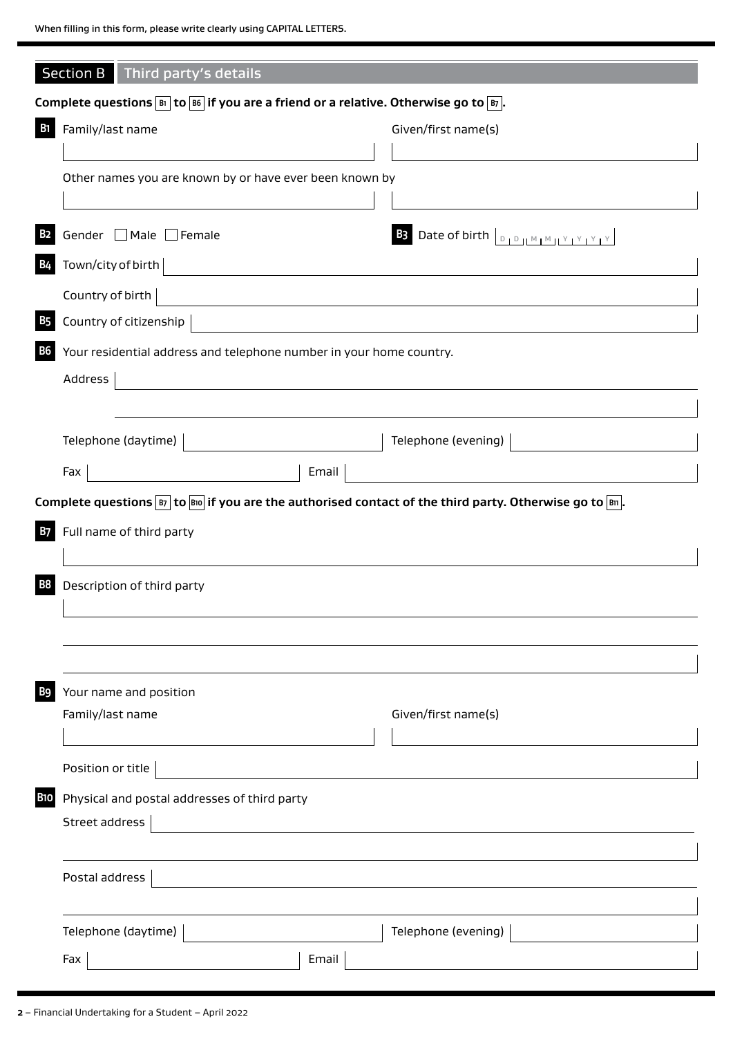|            | Section B Third party's details                                                                                 |                                                                                                                      |                                                                                                                                      |  |  |  |
|------------|-----------------------------------------------------------------------------------------------------------------|----------------------------------------------------------------------------------------------------------------------|--------------------------------------------------------------------------------------------------------------------------------------|--|--|--|
|            | Complete questions $\boxed{B}$ to $\boxed{B6}$ if you are a friend or a relative. Otherwise go to $\boxed{B}$ . |                                                                                                                      |                                                                                                                                      |  |  |  |
| B1         | Family/last name                                                                                                |                                                                                                                      | Given/first name(s)                                                                                                                  |  |  |  |
|            |                                                                                                                 |                                                                                                                      |                                                                                                                                      |  |  |  |
|            | Other names you are known by or have ever been known by                                                         |                                                                                                                      |                                                                                                                                      |  |  |  |
|            |                                                                                                                 |                                                                                                                      |                                                                                                                                      |  |  |  |
| <b>B2</b>  | Gender □ Male □ Female                                                                                          |                                                                                                                      |                                                                                                                                      |  |  |  |
| <b>B4</b>  | Town/city of birth                                                                                              |                                                                                                                      |                                                                                                                                      |  |  |  |
|            | Country of birth                                                                                                | <u> 1989 - Johann Stein, mars an deus Amerikaansk kommunister (* 1958)</u>                                           |                                                                                                                                      |  |  |  |
| <b>B</b> 5 | Country of citizenship                                                                                          |                                                                                                                      |                                                                                                                                      |  |  |  |
| <b>B6</b>  |                                                                                                                 | Your residential address and telephone number in your home country.                                                  |                                                                                                                                      |  |  |  |
|            | Address                                                                                                         | <u> 1980 - Johann Barbara, martxa a shekara 1980 - An tsaran 1980 - An tsara 1980 - An tsara 1980 - An tsara 198</u> |                                                                                                                                      |  |  |  |
|            |                                                                                                                 |                                                                                                                      |                                                                                                                                      |  |  |  |
|            | Telephone (daytime)                                                                                             |                                                                                                                      | Telephone (evening)                                                                                                                  |  |  |  |
|            | Fax                                                                                                             | Email                                                                                                                |                                                                                                                                      |  |  |  |
|            |                                                                                                                 |                                                                                                                      | Complete questions $\boxed{B}$ to $\boxed{B10}$ if you are the authorised contact of the third party. Otherwise go to $\boxed{B1}$ . |  |  |  |
| <b>B7</b>  | Full name of third party                                                                                        |                                                                                                                      |                                                                                                                                      |  |  |  |
|            |                                                                                                                 |                                                                                                                      |                                                                                                                                      |  |  |  |
| вв         | Description of third party                                                                                      |                                                                                                                      |                                                                                                                                      |  |  |  |
|            |                                                                                                                 |                                                                                                                      |                                                                                                                                      |  |  |  |
|            |                                                                                                                 |                                                                                                                      |                                                                                                                                      |  |  |  |
|            |                                                                                                                 |                                                                                                                      |                                                                                                                                      |  |  |  |
| B9         | Your name and position                                                                                          |                                                                                                                      |                                                                                                                                      |  |  |  |
|            | Family/last name                                                                                                |                                                                                                                      | Given/first name(s)                                                                                                                  |  |  |  |
|            |                                                                                                                 |                                                                                                                      |                                                                                                                                      |  |  |  |
|            | Position or title                                                                                               |                                                                                                                      |                                                                                                                                      |  |  |  |
| <b>B10</b> | Physical and postal addresses of third party                                                                    |                                                                                                                      |                                                                                                                                      |  |  |  |
|            | Street address                                                                                                  |                                                                                                                      |                                                                                                                                      |  |  |  |
|            |                                                                                                                 |                                                                                                                      |                                                                                                                                      |  |  |  |
|            | Postal address                                                                                                  |                                                                                                                      |                                                                                                                                      |  |  |  |
|            |                                                                                                                 |                                                                                                                      |                                                                                                                                      |  |  |  |
|            | Telephone (daytime)                                                                                             |                                                                                                                      | Telephone (evening)                                                                                                                  |  |  |  |
|            | Fax                                                                                                             | Email                                                                                                                |                                                                                                                                      |  |  |  |
|            |                                                                                                                 |                                                                                                                      |                                                                                                                                      |  |  |  |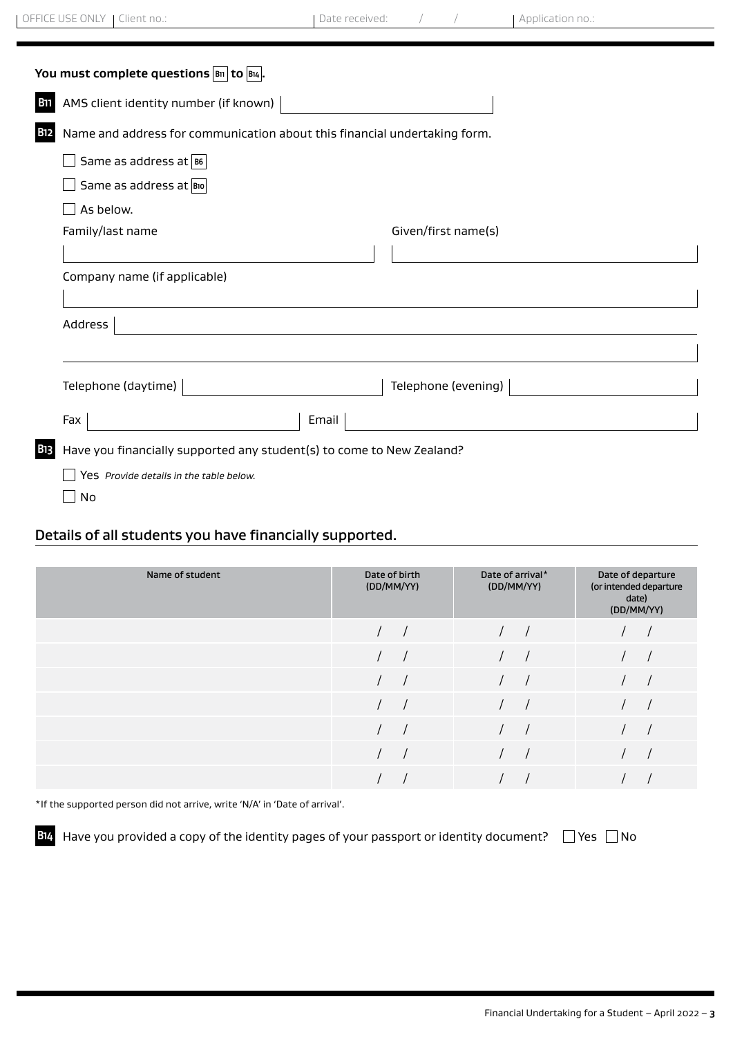| You must complete questions $ B_{11} $ to $ B_{14} $ . |                                                                           |                     |  |  |  |
|--------------------------------------------------------|---------------------------------------------------------------------------|---------------------|--|--|--|
| <b>B11</b>                                             | AMS client identity number (if known)                                     |                     |  |  |  |
| <b>B12</b>                                             | Name and address for communication about this financial undertaking form. |                     |  |  |  |
|                                                        | Same as address at B6                                                     |                     |  |  |  |
|                                                        | Same as address at Bio                                                    |                     |  |  |  |
|                                                        | As below.                                                                 |                     |  |  |  |
|                                                        | Family/last name                                                          | Given/first name(s) |  |  |  |
|                                                        |                                                                           |                     |  |  |  |
|                                                        | Company name (if applicable)                                              |                     |  |  |  |
|                                                        |                                                                           |                     |  |  |  |
|                                                        | Address                                                                   |                     |  |  |  |
|                                                        |                                                                           |                     |  |  |  |
|                                                        | Telephone (daytime)                                                       | Telephone (evening) |  |  |  |
|                                                        | Email<br>Fax                                                              |                     |  |  |  |
| <b>B</b> 13                                            | Have you financially supported any student(s) to come to New Zealand?     |                     |  |  |  |
|                                                        | Yes Provide details in the table below.                                   |                     |  |  |  |

 $\Box$  No

## Details of all students you have financially supported.

| Name of student | Date of birth<br>(DD/MM/YY) | Date of arrival*<br>(DD/MM/YY) | Date of departure<br>(or intended departure<br>date)<br>(DD/MM/YY) |
|-----------------|-----------------------------|--------------------------------|--------------------------------------------------------------------|
|                 |                             |                                |                                                                    |
|                 |                             |                                |                                                                    |
|                 |                             |                                |                                                                    |
|                 |                             |                                |                                                                    |
|                 |                             |                                |                                                                    |
|                 |                             |                                |                                                                    |
|                 |                             |                                |                                                                    |

\*If the supported person did not arrive, write 'N/A' in 'Date of arrival'.

**B14** Have you provided a copy of the identity pages of your passport or identity document?  $\Box$  Yes  $\Box$  No